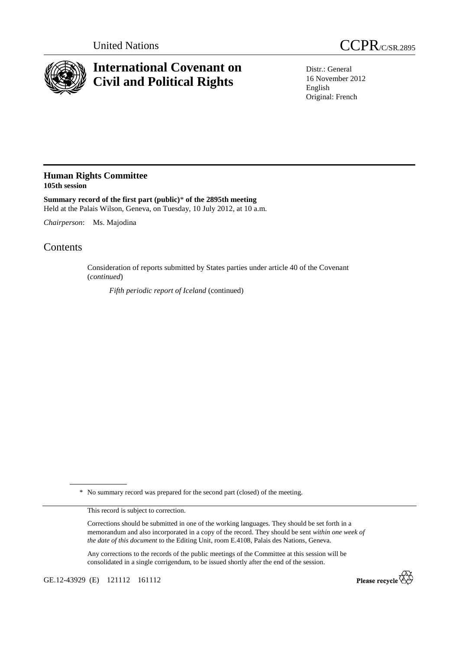



## **International Covenant on Civil and Political Rights**

Distr.: General 16 November 2012 English Original: French

## **Human Rights Committee 105th session**

**Summary record of the first part (public)**\* **of the 2895th meeting**  Held at the Palais Wilson, Geneva, on Tuesday, 10 July 2012, at 10 a.m.

*Chairperson*: Ms. Majodina

## **Contents**

Consideration of reports submitted by States parties under article 40 of the Covenant (*continued*)

*Fifth periodic report of Iceland* (continued)

\* No summary record was prepared for the second part (closed) of the meeting.

This record is subject to correction.

Corrections should be submitted in one of the working languages. They should be set forth in a memorandum and also incorporated in a copy of the record. They should be sent *within one week of the date of this document* to the Editing Unit, room E.4108, Palais des Nations, Geneva.

Any corrections to the records of the public meetings of the Committee at this session will be consolidated in a single corrigendum, to be issued shortly after the end of the session.

GE.12-43929 (E) 121112 161112

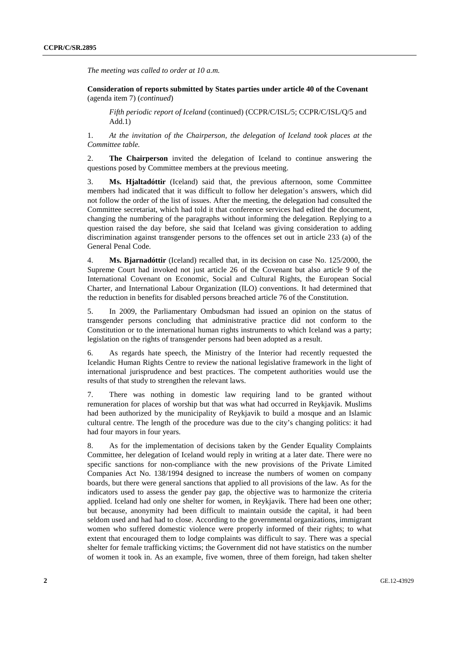*The meeting was called to order at 10 a.m.* 

 **Consideration of reports submitted by States parties under article 40 of the Covenant**  (agenda item 7) (*continued*)

*Fifth periodic report of Iceland* (continued) (CCPR/C/ISL/5; CCPR/C/ISL/Q/5 and Add.1)

1. *At the invitation of the Chairperson, the delegation of Iceland took places at the Committee table.* 

2. **The Chairperson** invited the delegation of Iceland to continue answering the questions posed by Committee members at the previous meeting.

3. **Ms. Hjaltadóttir** (Iceland) said that, the previous afternoon, some Committee members had indicated that it was difficult to follow her delegation's answers, which did not follow the order of the list of issues. After the meeting, the delegation had consulted the Committee secretariat, which had told it that conference services had edited the document, changing the numbering of the paragraphs without informing the delegation. Replying to a question raised the day before, she said that Iceland was giving consideration to adding discrimination against transgender persons to the offences set out in article 233 (a) of the General Penal Code.

4. **Ms. Bjarnadóttir** (Iceland) recalled that, in its decision on case No. 125/2000, the Supreme Court had invoked not just article 26 of the Covenant but also article 9 of the International Covenant on Economic, Social and Cultural Rights, the European Social Charter, and International Labour Organization (ILO) conventions. It had determined that the reduction in benefits for disabled persons breached article 76 of the Constitution.

5. In 2009, the Parliamentary Ombudsman had issued an opinion on the status of transgender persons concluding that administrative practice did not conform to the Constitution or to the international human rights instruments to which Iceland was a party; legislation on the rights of transgender persons had been adopted as a result.

6. As regards hate speech, the Ministry of the Interior had recently requested the Icelandic Human Rights Centre to review the national legislative framework in the light of international jurisprudence and best practices. The competent authorities would use the results of that study to strengthen the relevant laws.

7. There was nothing in domestic law requiring land to be granted without remuneration for places of worship but that was what had occurred in Reykjavik. Muslims had been authorized by the municipality of Reykjavik to build a mosque and an Islamic cultural centre. The length of the procedure was due to the city's changing politics: it had had four mayors in four years.

8. As for the implementation of decisions taken by the Gender Equality Complaints Committee, her delegation of Iceland would reply in writing at a later date. There were no specific sanctions for non-compliance with the new provisions of the Private Limited Companies Act No. 138/1994 designed to increase the numbers of women on company boards, but there were general sanctions that applied to all provisions of the law. As for the indicators used to assess the gender pay gap, the objective was to harmonize the criteria applied. Iceland had only one shelter for women, in Reykjavik. There had been one other; but because, anonymity had been difficult to maintain outside the capital, it had been seldom used and had had to close. According to the governmental organizations, immigrant women who suffered domestic violence were properly informed of their rights; to what extent that encouraged them to lodge complaints was difficult to say. There was a special shelter for female trafficking victims; the Government did not have statistics on the number of women it took in. As an example, five women, three of them foreign, had taken shelter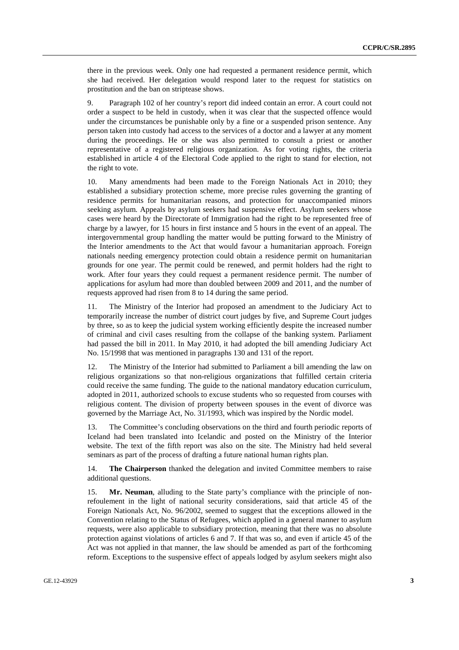there in the previous week. Only one had requested a permanent residence permit, which she had received. Her delegation would respond later to the request for statistics on prostitution and the ban on striptease shows.

9. Paragraph 102 of her country's report did indeed contain an error. A court could not order a suspect to be held in custody, when it was clear that the suspected offence would under the circumstances be punishable only by a fine or a suspended prison sentence. Any person taken into custody had access to the services of a doctor and a lawyer at any moment during the proceedings. He or she was also permitted to consult a priest or another representative of a registered religious organization. As for voting rights, the criteria established in article 4 of the Electoral Code applied to the right to stand for election, not the right to vote.

10. Many amendments had been made to the Foreign Nationals Act in 2010; they established a subsidiary protection scheme, more precise rules governing the granting of residence permits for humanitarian reasons, and protection for unaccompanied minors seeking asylum. Appeals by asylum seekers had suspensive effect. Asylum seekers whose cases were heard by the Directorate of Immigration had the right to be represented free of charge by a lawyer, for 15 hours in first instance and 5 hours in the event of an appeal. The intergovernmental group handling the matter would be putting forward to the Ministry of the Interior amendments to the Act that would favour a humanitarian approach. Foreign nationals needing emergency protection could obtain a residence permit on humanitarian grounds for one year. The permit could be renewed, and permit holders had the right to work. After four years they could request a permanent residence permit. The number of applications for asylum had more than doubled between 2009 and 2011, and the number of requests approved had risen from 8 to 14 during the same period.

11. The Ministry of the Interior had proposed an amendment to the Judiciary Act to temporarily increase the number of district court judges by five, and Supreme Court judges by three, so as to keep the judicial system working efficiently despite the increased number of criminal and civil cases resulting from the collapse of the banking system. Parliament had passed the bill in 2011. In May 2010, it had adopted the bill amending Judiciary Act No. 15/1998 that was mentioned in paragraphs 130 and 131 of the report.

12. The Ministry of the Interior had submitted to Parliament a bill amending the law on religious organizations so that non-religious organizations that fulfilled certain criteria could receive the same funding. The guide to the national mandatory education curriculum, adopted in 2011, authorized schools to excuse students who so requested from courses with religious content. The division of property between spouses in the event of divorce was governed by the Marriage Act, No. 31/1993, which was inspired by the Nordic model.

13. The Committee's concluding observations on the third and fourth periodic reports of Iceland had been translated into Icelandic and posted on the Ministry of the Interior website. The text of the fifth report was also on the site. The Ministry had held several seminars as part of the process of drafting a future national human rights plan.

14. **The Chairperson** thanked the delegation and invited Committee members to raise additional questions.

15. **Mr. Neuman**, alluding to the State party's compliance with the principle of nonrefoulement in the light of national security considerations, said that article 45 of the Foreign Nationals Act, No. 96/2002, seemed to suggest that the exceptions allowed in the Convention relating to the Status of Refugees, which applied in a general manner to asylum requests, were also applicable to subsidiary protection, meaning that there was no absolute protection against violations of articles 6 and 7. If that was so, and even if article 45 of the Act was not applied in that manner, the law should be amended as part of the forthcoming reform. Exceptions to the suspensive effect of appeals lodged by asylum seekers might also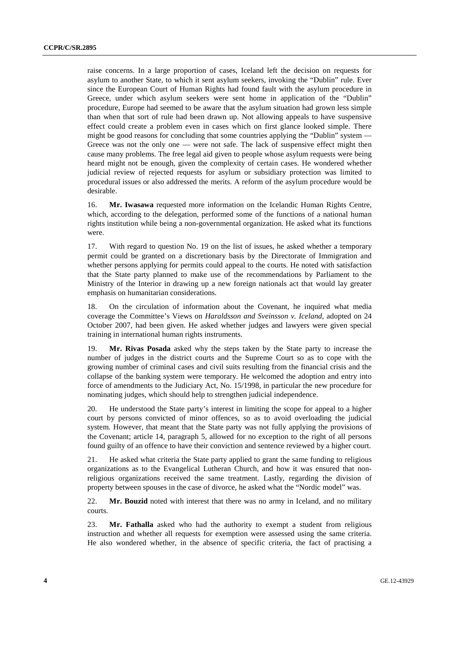raise concerns. In a large proportion of cases, Iceland left the decision on requests for asylum to another State, to which it sent asylum seekers, invoking the "Dublin" rule. Ever since the European Court of Human Rights had found fault with the asylum procedure in Greece, under which asylum seekers were sent home in application of the "Dublin" procedure, Europe had seemed to be aware that the asylum situation had grown less simple than when that sort of rule had been drawn up. Not allowing appeals to have suspensive effect could create a problem even in cases which on first glance looked simple. There might be good reasons for concluding that some countries applying the "Dublin" system — Greece was not the only one — were not safe. The lack of suspensive effect might then cause many problems. The free legal aid given to people whose asylum requests were being heard might not be enough, given the complexity of certain cases. He wondered whether judicial review of rejected requests for asylum or subsidiary protection was limited to procedural issues or also addressed the merits. A reform of the asylum procedure would be desirable.

16. **Mr. Iwasawa** requested more information on the Icelandic Human Rights Centre, which, according to the delegation, performed some of the functions of a national human rights institution while being a non-governmental organization. He asked what its functions were.

17. With regard to question No. 19 on the list of issues, he asked whether a temporary permit could be granted on a discretionary basis by the Directorate of Immigration and whether persons applying for permits could appeal to the courts. He noted with satisfaction that the State party planned to make use of the recommendations by Parliament to the Ministry of the Interior in drawing up a new foreign nationals act that would lay greater emphasis on humanitarian considerations.

18. On the circulation of information about the Covenant, he inquired what media coverage the Committee's Views on *Haraldsson and Sveinsson v. Iceland*, adopted on 24 October 2007, had been given. He asked whether judges and lawyers were given special training in international human rights instruments.

19. **Mr. Rivas Posada** asked why the steps taken by the State party to increase the number of judges in the district courts and the Supreme Court so as to cope with the growing number of criminal cases and civil suits resulting from the financial crisis and the collapse of the banking system were temporary. He welcomed the adoption and entry into force of amendments to the Judiciary Act, No. 15/1998, in particular the new procedure for nominating judges, which should help to strengthen judicial independence.

20. He understood the State party's interest in limiting the scope for appeal to a higher court by persons convicted of minor offences, so as to avoid overloading the judicial system. However, that meant that the State party was not fully applying the provisions of the Covenant; article 14, paragraph 5, allowed for no exception to the right of all persons found guilty of an offence to have their conviction and sentence reviewed by a higher court.

21. He asked what criteria the State party applied to grant the same funding to religious organizations as to the Evangelical Lutheran Church, and how it was ensured that nonreligious organizations received the same treatment. Lastly, regarding the division of property between spouses in the case of divorce, he asked what the "Nordic model" was.

22. **Mr. Bouzid** noted with interest that there was no army in Iceland, and no military courts.

23. **Mr. Fathalla** asked who had the authority to exempt a student from religious instruction and whether all requests for exemption were assessed using the same criteria. He also wondered whether, in the absence of specific criteria, the fact of practising a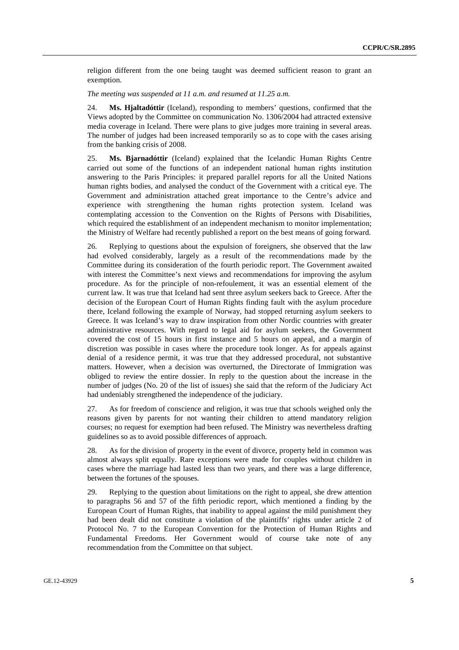religion different from the one being taught was deemed sufficient reason to grant an exemption.

*The meeting was suspended at 11 a.m. and resumed at 11.25 a.m.* 

24. **Ms. Hjaltadóttir** (Iceland), responding to members' questions, confirmed that the Views adopted by the Committee on communication No. 1306/2004 had attracted extensive media coverage in Iceland. There were plans to give judges more training in several areas. The number of judges had been increased temporarily so as to cope with the cases arising from the banking crisis of 2008.

25. **Ms. Bjarnadóttir** (Iceland) explained that the Icelandic Human Rights Centre carried out some of the functions of an independent national human rights institution answering to the Paris Principles: it prepared parallel reports for all the United Nations human rights bodies, and analysed the conduct of the Government with a critical eye. The Government and administration attached great importance to the Centre's advice and experience with strengthening the human rights protection system. Iceland was contemplating accession to the Convention on the Rights of Persons with Disabilities, which required the establishment of an independent mechanism to monitor implementation; the Ministry of Welfare had recently published a report on the best means of going forward.

26. Replying to questions about the expulsion of foreigners, she observed that the law had evolved considerably, largely as a result of the recommendations made by the Committee during its consideration of the fourth periodic report. The Government awaited with interest the Committee's next views and recommendations for improving the asylum procedure. As for the principle of non-refoulement, it was an essential element of the current law. It was true that Iceland had sent three asylum seekers back to Greece. After the decision of the European Court of Human Rights finding fault with the asylum procedure there, Iceland following the example of Norway, had stopped returning asylum seekers to Greece. It was Iceland's way to draw inspiration from other Nordic countries with greater administrative resources. With regard to legal aid for asylum seekers, the Government covered the cost of 15 hours in first instance and 5 hours on appeal, and a margin of discretion was possible in cases where the procedure took longer. As for appeals against denial of a residence permit, it was true that they addressed procedural, not substantive matters. However, when a decision was overturned, the Directorate of Immigration was obliged to review the entire dossier. In reply to the question about the increase in the number of judges (No. 20 of the list of issues) she said that the reform of the Judiciary Act had undeniably strengthened the independence of the judiciary.

27. As for freedom of conscience and religion, it was true that schools weighed only the reasons given by parents for not wanting their children to attend mandatory religion courses; no request for exemption had been refused. The Ministry was nevertheless drafting guidelines so as to avoid possible differences of approach.

28. As for the division of property in the event of divorce, property held in common was almost always split equally. Rare exceptions were made for couples without children in cases where the marriage had lasted less than two years, and there was a large difference, between the fortunes of the spouses.

29. Replying to the question about limitations on the right to appeal, she drew attention to paragraphs 56 and 57 of the fifth periodic report, which mentioned a finding by the European Court of Human Rights, that inability to appeal against the mild punishment they had been dealt did not constitute a violation of the plaintiffs' rights under article 2 of Protocol No. 7 to the European Convention for the Protection of Human Rights and Fundamental Freedoms. Her Government would of course take note of any recommendation from the Committee on that subject.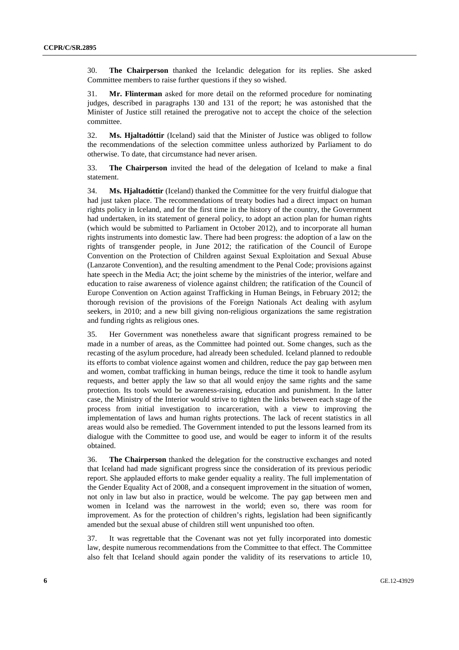30. **The Chairperson** thanked the Icelandic delegation for its replies. She asked Committee members to raise further questions if they so wished.

31. **Mr. Flinterman** asked for more detail on the reformed procedure for nominating judges, described in paragraphs 130 and 131 of the report; he was astonished that the Minister of Justice still retained the prerogative not to accept the choice of the selection committee.

32. **Ms. Hjaltadóttir** (Iceland) said that the Minister of Justice was obliged to follow the recommendations of the selection committee unless authorized by Parliament to do otherwise. To date, that circumstance had never arisen.

33. **The Chairperson** invited the head of the delegation of Iceland to make a final statement.

34. **Ms. Hjaltadóttir** (Iceland) thanked the Committee for the very fruitful dialogue that had just taken place. The recommendations of treaty bodies had a direct impact on human rights policy in Iceland, and for the first time in the history of the country, the Government had undertaken, in its statement of general policy, to adopt an action plan for human rights (which would be submitted to Parliament in October 2012), and to incorporate all human rights instruments into domestic law. There had been progress: the adoption of a law on the rights of transgender people, in June 2012; the ratification of the Council of Europe Convention on the Protection of Children against Sexual Exploitation and Sexual Abuse (Lanzarote Convention), and the resulting amendment to the Penal Code; provisions against hate speech in the Media Act; the joint scheme by the ministries of the interior, welfare and education to raise awareness of violence against children; the ratification of the Council of Europe Convention on Action against Trafficking in Human Beings, in February 2012; the thorough revision of the provisions of the Foreign Nationals Act dealing with asylum seekers, in 2010; and a new bill giving non-religious organizations the same registration and funding rights as religious ones.

35. Her Government was nonetheless aware that significant progress remained to be made in a number of areas, as the Committee had pointed out. Some changes, such as the recasting of the asylum procedure, had already been scheduled. Iceland planned to redouble its efforts to combat violence against women and children, reduce the pay gap between men and women, combat trafficking in human beings, reduce the time it took to handle asylum requests, and better apply the law so that all would enjoy the same rights and the same protection. Its tools would be awareness-raising, education and punishment. In the latter case, the Ministry of the Interior would strive to tighten the links between each stage of the process from initial investigation to incarceration, with a view to improving the implementation of laws and human rights protections. The lack of recent statistics in all areas would also be remedied. The Government intended to put the lessons learned from its dialogue with the Committee to good use, and would be eager to inform it of the results obtained.

36. **The Chairperson** thanked the delegation for the constructive exchanges and noted that Iceland had made significant progress since the consideration of its previous periodic report. She applauded efforts to make gender equality a reality. The full implementation of the Gender Equality Act of 2008, and a consequent improvement in the situation of women, not only in law but also in practice, would be welcome. The pay gap between men and women in Iceland was the narrowest in the world; even so, there was room for improvement. As for the protection of children's rights, legislation had been significantly amended but the sexual abuse of children still went unpunished too often.

37. It was regrettable that the Covenant was not yet fully incorporated into domestic law, despite numerous recommendations from the Committee to that effect. The Committee also felt that Iceland should again ponder the validity of its reservations to article 10,